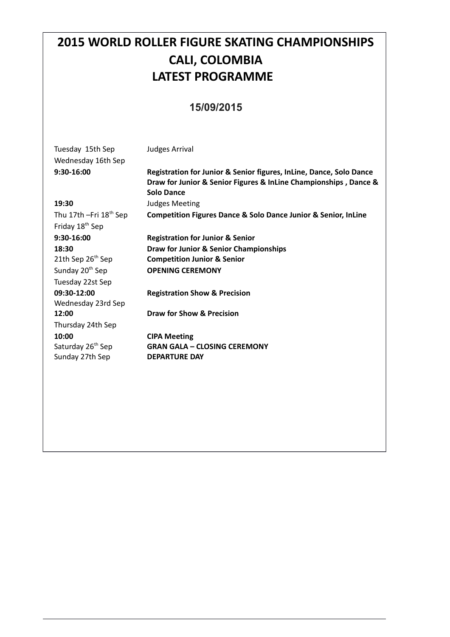# **2015 WORLD ROLLER FIGURE SKATING CHAMPIONSHIPS CALI, COLOMBIA LATEST PROGRAMME**

#### **15/09/2015**

| Tuesday 15th Sep<br>Wednesday 16th Sep | <b>Judges Arrival</b>                                                                                                                                        |
|----------------------------------------|--------------------------------------------------------------------------------------------------------------------------------------------------------------|
| 9:30-16:00                             | Registration for Junior & Senior figures, InLine, Dance, Solo Dance<br>Draw for Junior & Senior Figures & InLine Championships, Dance &<br><b>Solo Dance</b> |
| 19:30                                  | <b>Judges Meeting</b>                                                                                                                                        |
| Thu 17th $-Fri$ 18 <sup>th</sup> Sep   | <b>Competition Figures Dance &amp; Solo Dance Junior &amp; Senior, InLine</b>                                                                                |
| Friday 18 <sup>th</sup> Sep            |                                                                                                                                                              |
| $9:30-16:00$                           | <b>Registration for Junior &amp; Senior</b>                                                                                                                  |
| 18:30                                  | Draw for Junior & Senior Championships                                                                                                                       |
| 21th Sep 26 <sup>th</sup> Sep          | <b>Competition Junior &amp; Senior</b>                                                                                                                       |
| Sunday 20 <sup>th</sup> Sep            | <b>OPENING CEREMONY</b>                                                                                                                                      |
| Tuesday 22st Sep                       |                                                                                                                                                              |
| 09:30-12:00                            | <b>Registration Show &amp; Precision</b>                                                                                                                     |
| Wednesday 23rd Sep                     |                                                                                                                                                              |
| 12:00                                  | Draw for Show & Precision                                                                                                                                    |
| Thursday 24th Sep                      |                                                                                                                                                              |
| 10:00                                  | <b>CIPA Meeting</b>                                                                                                                                          |
| Saturday 26 <sup>th</sup> Sep          | <b>GRAN GALA - CLOSING CEREMONY</b>                                                                                                                          |
| Sunday 27th Sep                        | <b>DEPARTURE DAY</b>                                                                                                                                         |
|                                        |                                                                                                                                                              |
|                                        |                                                                                                                                                              |
|                                        |                                                                                                                                                              |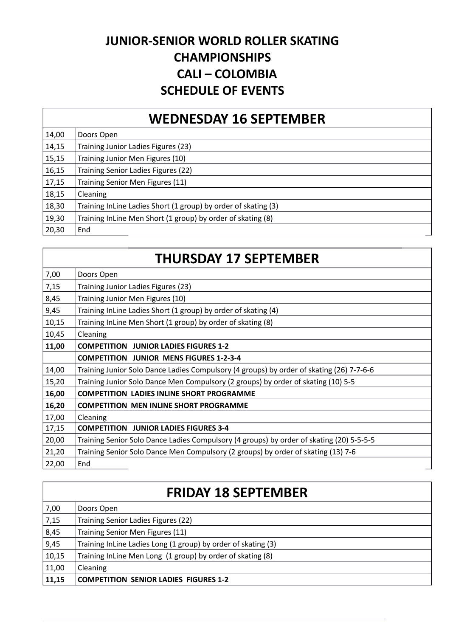#### **JUNIOR-SENIOR WORLD ROLLER SKATING CHAMPIONSHIPS CALI – COLOMBIA SCHEDULE OF EVENTS**

#### **WEDNESDAY 16 SEPTEMBER**

| 14,00 | Doors Open                                                     |
|-------|----------------------------------------------------------------|
| 14,15 | Training Junior Ladies Figures (23)                            |
| 15,15 | Training Junior Men Figures (10)                               |
| 16,15 | Training Senior Ladies Figures (22)                            |
| 17,15 | Training Senior Men Figures (11)                               |
| 18,15 | Cleaning                                                       |
| 18,30 | Training InLine Ladies Short (1 group) by order of skating (3) |
| 19,30 | Training InLine Men Short (1 group) by order of skating (8)    |
| 20,30 | End                                                            |

#### **THURSDAY 17 SEPTEMBER**

| 7,00  | Doors Open                                                                               |
|-------|------------------------------------------------------------------------------------------|
| 7,15  | Training Junior Ladies Figures (23)                                                      |
| 8,45  | Training Junior Men Figures (10)                                                         |
| 9,45  | Training InLine Ladies Short (1 group) by order of skating (4)                           |
| 10,15 | Training InLine Men Short (1 group) by order of skating (8)                              |
| 10,45 | <b>Cleaning</b>                                                                          |
| 11,00 | <b>COMPETITION JUNIOR LADIES FIGURES 1-2</b>                                             |
|       | <b>COMPETITION JUNIOR MENS FIGURES 1-2-3-4</b>                                           |
| 14,00 | Training Junior Solo Dance Ladies Compulsory (4 groups) by order of skating (26) 7-7-6-6 |
| 15,20 | Training Junior Solo Dance Men Compulsory (2 groups) by order of skating (10) 5-5        |
| 16,00 | <b>COMPETITION LADIES INLINE SHORT PROGRAMME</b>                                         |
| 16,20 | <b>COMPETITION MEN INLINE SHORT PROGRAMME</b>                                            |
| 17,00 | Cleaning                                                                                 |
| 17,15 | <b>COMPETITION JUNIOR LADIES FIGURES 3-4</b>                                             |
| 20,00 | Training Senior Solo Dance Ladies Compulsory (4 groups) by order of skating (20) 5-5-5-5 |
| 21,20 | Training Senior Solo Dance Men Compulsory (2 groups) by order of skating (13) 7-6        |
| 22,00 | End                                                                                      |

## **FRIDAY 18 SEPTEMBER**

| 7,00  | Doors Open                                                    |
|-------|---------------------------------------------------------------|
| 7,15  | Training Senior Ladies Figures (22)                           |
| 8,45  | Training Senior Men Figures (11)                              |
| 9,45  | Training InLine Ladies Long (1 group) by order of skating (3) |
| 10,15 | Training InLine Men Long (1 group) by order of skating (8)    |
| 11,00 | Cleaning                                                      |
| 11,15 | <b>COMPETITION SENIOR LADIES FIGURES 1-2</b>                  |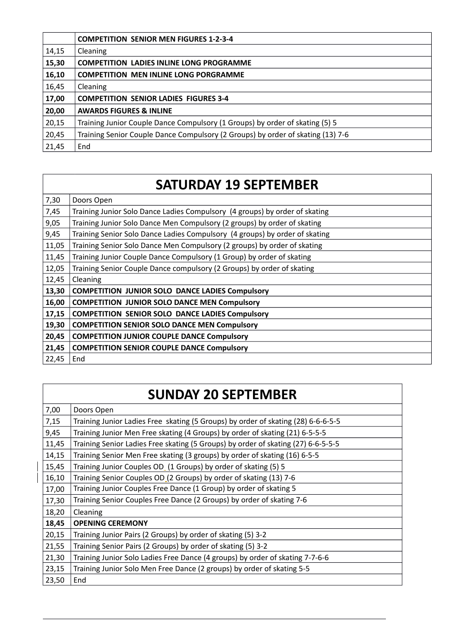|       | <b>COMPETITION SENIOR MEN FIGURES 1-2-3-4</b>                                   |
|-------|---------------------------------------------------------------------------------|
| 14,15 | Cleaning                                                                        |
| 15,30 | <b>COMPETITION LADIES INLINE LONG PROGRAMME</b>                                 |
| 16,10 | <b>COMPETITION MEN INLINE LONG PORGRAMME</b>                                    |
| 16,45 | Cleaning                                                                        |
| 17,00 | <b>COMPETITION SENIOR LADIES FIGURES 3-4</b>                                    |
| 20,00 | <b>AWARDS FIGURES &amp; INLINE</b>                                              |
| 20,15 | Training Junior Couple Dance Compulsory (1 Groups) by order of skating (5) 5    |
| 20,45 | Training Senior Couple Dance Compulsory (2 Groups) by order of skating (13) 7-6 |
| 21,45 | End                                                                             |

# **SATURDAY 19 SEPTEMBER**

| 7,30  | Doors Open                                                                  |
|-------|-----------------------------------------------------------------------------|
| 7,45  | Training Junior Solo Dance Ladies Compulsory (4 groups) by order of skating |
| 9,05  | Training Junior Solo Dance Men Compulsory (2 groups) by order of skating    |
| 9,45  | Training Senior Solo Dance Ladies Compulsory (4 groups) by order of skating |
| 11,05 | Training Senior Solo Dance Men Compulsory (2 groups) by order of skating    |
| 11,45 | Training Junior Couple Dance Compulsory (1 Group) by order of skating       |
| 12,05 | Training Senior Couple Dance compulsory (2 Groups) by order of skating      |
| 12,45 | Cleaning                                                                    |
| 13,30 | <b>COMPETITION JUNIOR SOLO DANCE LADIES Compulsory</b>                      |
| 16,00 | <b>COMPETITION JUNIOR SOLO DANCE MEN Compulsory</b>                         |
| 17,15 | <b>COMPETITION SENIOR SOLO DANCE LADIES Compulsory</b>                      |
| 19,30 | <b>COMPETITION SENIOR SOLO DANCE MEN Compulsory</b>                         |
| 20,45 | <b>COMPETITION JUNIOR COUPLE DANCE Compulsory</b>                           |
| 21,45 | <b>COMPETITION SENIOR COUPLE DANCE Compulsory</b>                           |
| 22,45 | End                                                                         |

# **SUNDAY 20 SEPTEMBER**

| Doors Open                                                                        |
|-----------------------------------------------------------------------------------|
| Training Junior Ladies Free skating (5 Groups) by order of skating (28) 6-6-6-5-5 |
| Training Junior Men Free skating (4 Groups) by order of skating (21) 6-5-5-5      |
| Training Senior Ladies Free skating (5 Groups) by order of skating (27) 6-6-5-5-5 |
| Training Senior Men Free skating (3 groups) by order of skating (16) 6-5-5        |
| Training Junior Couples OD_ (1 Groups) by order of skating (5) 5                  |
| Training Senior Couples OD_(2 Groups) by order of skating (13) 7-6                |
| Training Junior Couples Free Dance (1 Group) by order of skating 5                |
| Training Senior Couples Free Dance (2 Groups) by order of skating 7-6             |
| Cleaning                                                                          |
| <b>OPENING CEREMONY</b>                                                           |
| Training Junior Pairs (2 Groups) by order of skating (5) 3-2                      |
| Training Senior Pairs (2 Groups) by order of skating (5) 3-2                      |
| Training Junior Solo Ladies Free Dance (4 groups) by order of skating 7-7-6-6     |
| Training Junior Solo Men Free Dance (2 groups) by order of skating 5-5            |
| End                                                                               |
|                                                                                   |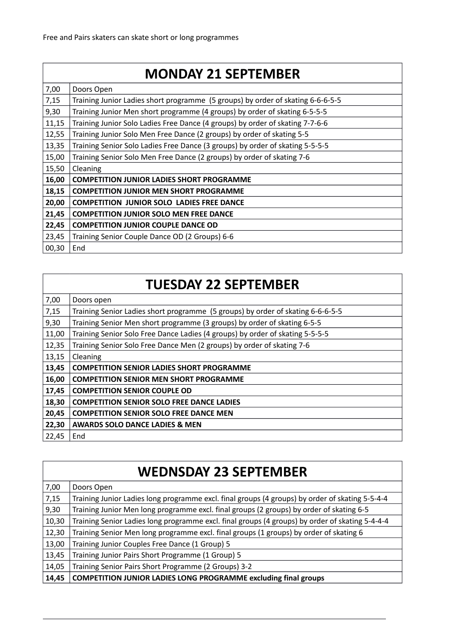#### **MONDAY 21 SEPTEMBER**

| 7,00  | Doors Open                                                                      |
|-------|---------------------------------------------------------------------------------|
| 7,15  | Training Junior Ladies short programme (5 groups) by order of skating 6-6-6-5-5 |
| 9,30  | Training Junior Men short programme (4 groups) by order of skating 6-5-5-5      |
| 11,15 | Training Junior Solo Ladies Free Dance (4 groups) by order of skating 7-7-6-6   |
| 12,55 | Training Junior Solo Men Free Dance (2 groups) by order of skating 5-5          |
| 13,35 | Training Senior Solo Ladies Free Dance (3 groups) by order of skating 5-5-5-5   |
| 15,00 | Training Senior Solo Men Free Dance (2 groups) by order of skating 7-6          |
| 15,50 | Cleaning                                                                        |
| 16,00 | <b>COMPETITION JUNIOR LADIES SHORT PROGRAMME</b>                                |
| 18,15 | <b>COMPETITION JUNIOR MEN SHORT PROGRAMME</b>                                   |
| 20,00 | <b>COMPETITION JUNIOR SOLO LADIES FREE DANCE</b>                                |
| 21,45 | <b>COMPETITION JUNIOR SOLO MEN FREE DANCE</b>                                   |
| 22,45 | <b>COMPETITION JUNIOR COUPLE DANCE OD</b>                                       |
| 23,45 | Training Senior Couple Dance OD (2 Groups) 6-6                                  |
| 00,30 | End                                                                             |

# **TUESDAY 22 SEPTEMBER**

| 7,00  | Doors open                                                                      |
|-------|---------------------------------------------------------------------------------|
| 7,15  | Training Senior Ladies short programme (5 groups) by order of skating 6-6-6-5-5 |
| 9,30  | Training Senior Men short programme (3 groups) by order of skating 6-5-5        |
| 11,00 | Training Senior Solo Free Dance Ladies (4 groups) by order of skating 5-5-5-5   |
| 12,35 | Training Senior Solo Free Dance Men (2 groups) by order of skating 7-6          |
| 13,15 | Cleaning                                                                        |
| 13,45 | <b>COMPETITION SENIOR LADIES SHORT PROGRAMME</b>                                |
| 16,00 | <b>COMPETITION SENIOR MEN SHORT PROGRAMME</b>                                   |
| 17,45 | <b>COMPETITION SENIOR COUPLE OD</b>                                             |
| 18,30 | <b>COMPETITION SENIOR SOLO FREE DANCE LADIES</b>                                |
| 20,45 | <b>COMPETITION SENIOR SOLO FREE DANCE MEN</b>                                   |
| 22,30 | <b>AWARDS SOLO DANCE LADIES &amp; MEN</b>                                       |
| 22,45 | End                                                                             |

## **WEDNSDAY 23 SEPTEMBER**

| 7,00  | Doors Open                                                                                      |
|-------|-------------------------------------------------------------------------------------------------|
| 7,15  | Training Junior Ladies long programme excl. final groups (4 groups) by order of skating 5-5-4-4 |
| 9,30  | Training Junior Men long programme excl. final groups (2 groups) by order of skating 6-5        |
| 10,30 | Training Senior Ladies long programme excl. final groups (4 groups) by order of skating 5-4-4-4 |
| 12,30 | Training Senior Men long programme excl. final groups (1 groups) by order of skating 6          |
| 13,00 | Training Junior Couples Free Dance (1 Group) 5                                                  |
| 13,45 | Training Junior Pairs Short Programme (1 Group) 5                                               |
| 14,05 | Training Senior Pairs Short Programme (2 Groups) 3-2                                            |
| 14,45 | <b>COMPETITION JUNIOR LADIES LONG PROGRAMME excluding final groups</b>                          |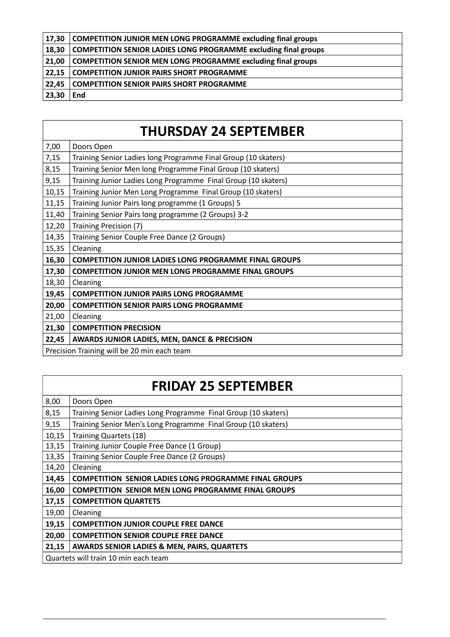| 17,30 | <b>COMPETITION JUNIOR MEN LONG PROGRAMME excluding final groups</b>    |
|-------|------------------------------------------------------------------------|
| 18,30 | <b>COMPETITION SENIOR LADIES LONG PROGRAMME excluding final groups</b> |
| 21,00 | <b>COMPETITION SENIOR MEN LONG PROGRAMME excluding final groups</b>    |
| 22,15 | <b>COMPETITION JUNIOR PAIRS SHORT PROGRAMME</b>                        |
| 22,45 | <b>COMPETITION SENIOR PAIRS SHORT PROGRAMME</b>                        |
| 23,30 | End                                                                    |

# **THURSDAY 24 SEPTEMBER**

| 7,00                                        | Doors Open                                                     |
|---------------------------------------------|----------------------------------------------------------------|
| 7,15                                        | Training Senior Ladies long Programme Final Group (10 skaters) |
| 8,15                                        | Training Senior Men long Programme Final Group (10 skaters)    |
| 9,15                                        | Training Junior Ladies Long Programme Final Group (10 skaters) |
| 10,15                                       | Training Junior Men Long Programme Final Group (10 skaters)    |
| 11,15                                       | Training Junior Pairs long programme (1 Groups) 5              |
| 11,40                                       | Training Senior Pairs long programme (2 Groups) 3-2            |
| 12,20                                       | Training Precision (7)                                         |
| 14,35                                       | Training Senior Couple Free Dance (2 Groups)                   |
| 15,35                                       | Cleaning                                                       |
| 16,30                                       | <b>COMPETITION JUNIOR LADIES LONG PROGRAMME FINAL GROUPS</b>   |
| 17,30                                       | <b>COMPETITION JUNIOR MEN LONG PROGRAMME FINAL GROUPS</b>      |
| 18,30                                       | Cleaning                                                       |
| 19,45                                       | <b>COMPETITION JUNIOR PAIRS LONG PROGRAMME</b>                 |
| 20,00                                       | <b>COMPETITION SENIOR PAIRS LONG PROGRAMME</b>                 |
| 21,00                                       | Cleaning                                                       |
| 21,30                                       | <b>COMPETITION PRECISION</b>                                   |
| 22,45                                       | AWARDS JUNIOR LADIES, MEN, DANCE & PRECISION                   |
| Precision Training will be 20 min each team |                                                                |

# **FRIDAY 25 SEPTEMBER**

| 8,00                                 | Doors Open                                                     |
|--------------------------------------|----------------------------------------------------------------|
| 8,15                                 | Training Senior Ladies Long Programme Final Group (10 skaters) |
| 9,15                                 | Training Senior Men's Long Programme Final Group (10 skaters)  |
| 10,15                                | <b>Training Quartets (18)</b>                                  |
| 13,15                                | Training Junior Couple Free Dance (1 Group)                    |
| 13,35                                | Training Senior Couple Free Dance (2 Groups)                   |
| 14,20                                | Cleaning                                                       |
| 14,45                                | <b>COMPETITION SENIOR LADIES LONG PROGRAMME FINAL GROUPS</b>   |
| 16,00                                | <b>COMPETITION SENIOR MEN LONG PROGRAMME FINAL GROUPS</b>      |
| 17,15                                | <b>COMPETITION QUARTETS</b>                                    |
| 19,00                                | Cleaning                                                       |
| 19,15                                | <b>COMPETITION JUNIOR COUPLE FREE DANCE</b>                    |
| 20,00                                | <b>COMPETITION SENIOR COUPLE FREE DANCE</b>                    |
| 21,15                                | <b>AWARDS SENIOR LADIES &amp; MEN, PAIRS, QUARTETS</b>         |
| Quartets will train 10 min each team |                                                                |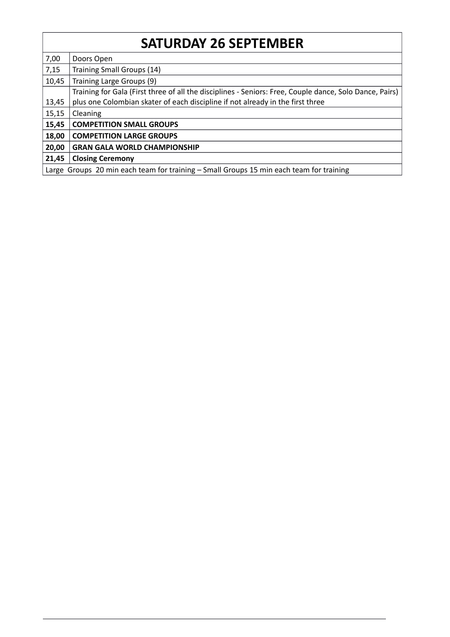# **SATURDAY 26 SEPTEMBER**

| 7,00                                                                                    | Doors Open                                                                                              |
|-----------------------------------------------------------------------------------------|---------------------------------------------------------------------------------------------------------|
| 7,15                                                                                    | Training Small Groups (14)                                                                              |
| 10,45                                                                                   | Training Large Groups (9)                                                                               |
|                                                                                         | Training for Gala (First three of all the disciplines - Seniors: Free, Couple dance, Solo Dance, Pairs) |
| 13,45                                                                                   | plus one Colombian skater of each discipline if not already in the first three                          |
| 15,15                                                                                   | Cleaning                                                                                                |
| 15,45                                                                                   | <b>COMPETITION SMALL GROUPS</b>                                                                         |
| 18,00                                                                                   | <b>COMPETITION LARGE GROUPS</b>                                                                         |
| 20,00                                                                                   | <b>GRAN GALA WORLD CHAMPIONSHIP</b>                                                                     |
| 21,45                                                                                   | <b>Closing Ceremony</b>                                                                                 |
| Large Groups 20 min each team for training - Small Groups 15 min each team for training |                                                                                                         |